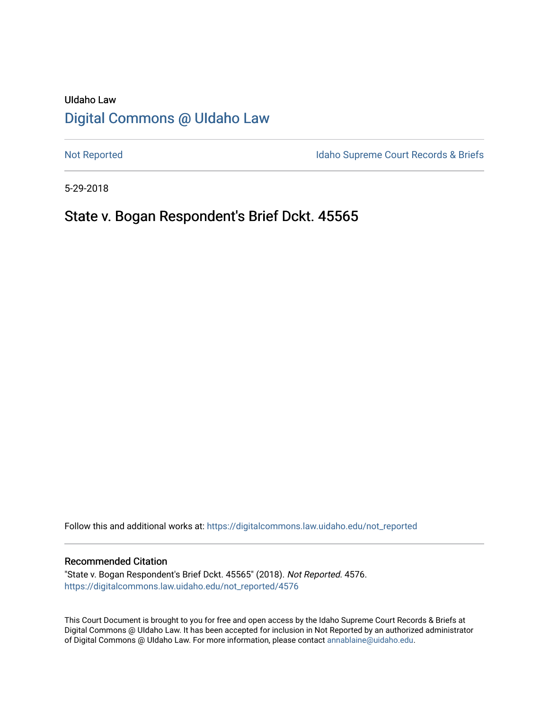# UIdaho Law [Digital Commons @ UIdaho Law](https://digitalcommons.law.uidaho.edu/)

[Not Reported](https://digitalcommons.law.uidaho.edu/not_reported) **Idaho Supreme Court Records & Briefs** 

5-29-2018

## State v. Bogan Respondent's Brief Dckt. 45565

Follow this and additional works at: [https://digitalcommons.law.uidaho.edu/not\\_reported](https://digitalcommons.law.uidaho.edu/not_reported?utm_source=digitalcommons.law.uidaho.edu%2Fnot_reported%2F4576&utm_medium=PDF&utm_campaign=PDFCoverPages) 

#### Recommended Citation

"State v. Bogan Respondent's Brief Dckt. 45565" (2018). Not Reported. 4576. [https://digitalcommons.law.uidaho.edu/not\\_reported/4576](https://digitalcommons.law.uidaho.edu/not_reported/4576?utm_source=digitalcommons.law.uidaho.edu%2Fnot_reported%2F4576&utm_medium=PDF&utm_campaign=PDFCoverPages)

This Court Document is brought to you for free and open access by the Idaho Supreme Court Records & Briefs at Digital Commons @ UIdaho Law. It has been accepted for inclusion in Not Reported by an authorized administrator of Digital Commons @ UIdaho Law. For more information, please contact [annablaine@uidaho.edu](mailto:annablaine@uidaho.edu).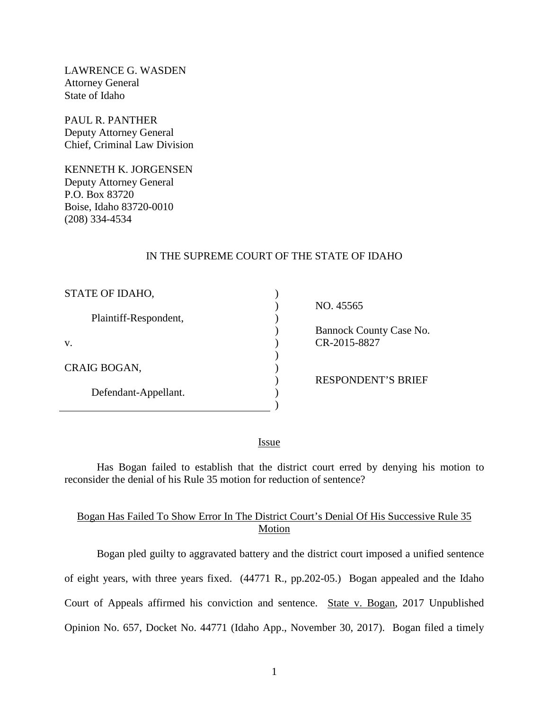LAWRENCE G. WASDEN Attorney General State of Idaho

PAUL R. PANTHER Deputy Attorney General Chief, Criminal Law Division

KENNETH K. JORGENSEN Deputy Attorney General P.O. Box 83720 Boise, Idaho 83720-0010 (208) 334-4534

#### IN THE SUPREME COURT OF THE STATE OF IDAHO

| STATE OF IDAHO,       |  |
|-----------------------|--|
| Plaintiff-Respondent, |  |
| V.                    |  |
| CRAIG BOGAN,          |  |
| Defendant-Appellant.  |  |
|                       |  |

 NO. 45565 Bannock County Case No. CR-2015-8827

RESPONDENT'S BRIEF

<u>Issue</u>

Has Bogan failed to establish that the district court erred by denying his motion to reconsider the denial of his Rule 35 motion for reduction of sentence?

### Bogan Has Failed To Show Error In The District Court's Denial Of His Successive Rule 35 Motion

Bogan pled guilty to aggravated battery and the district court imposed a unified sentence of eight years, with three years fixed. (44771 R., pp.202-05.) Bogan appealed and the Idaho Court of Appeals affirmed his conviction and sentence. State v. Bogan, 2017 Unpublished Opinion No. 657, Docket No. 44771 (Idaho App., November 30, 2017). Bogan filed a timely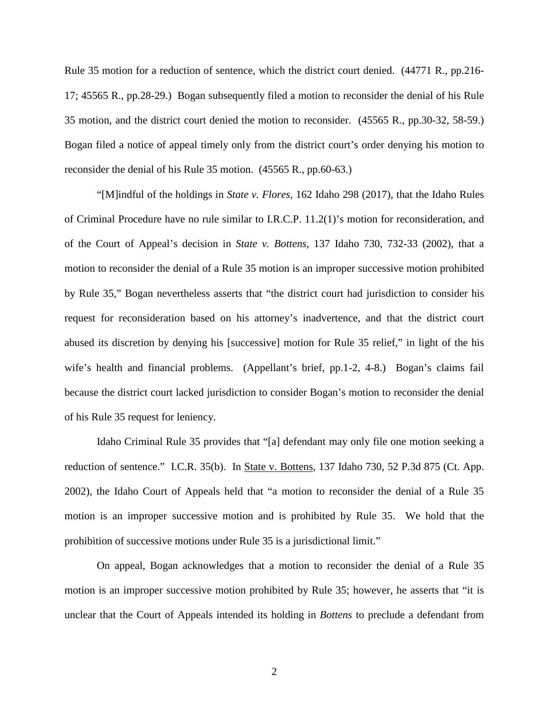Rule 35 motion for a reduction of sentence, which the district court denied. (44771 R., pp.216- 17; 45565 R., pp.28-29.) Bogan subsequently filed a motion to reconsider the denial of his Rule 35 motion, and the district court denied the motion to reconsider. (45565 R., pp.30-32, 58-59.) Bogan filed a notice of appeal timely only from the district court's order denying his motion to reconsider the denial of his Rule 35 motion. (45565 R., pp.60-63.)

"[M]indful of the holdings in *State v. Flores*, 162 Idaho 298 (2017), that the Idaho Rules of Criminal Procedure have no rule similar to I.R.C.P. 11.2(1)'s motion for reconsideration, and of the Court of Appeal's decision in *State v. Bottens*, 137 Idaho 730, 732-33 (2002), that a motion to reconsider the denial of a Rule 35 motion is an improper successive motion prohibited by Rule 35," Bogan nevertheless asserts that "the district court had jurisdiction to consider his request for reconsideration based on his attorney's inadvertence, and that the district court abused its discretion by denying his [successive] motion for Rule 35 relief," in light of the his wife's health and financial problems. (Appellant's brief, pp.1-2, 4-8.) Bogan's claims fail because the district court lacked jurisdiction to consider Bogan's motion to reconsider the denial of his Rule 35 request for leniency.

Idaho Criminal Rule 35 provides that "[a] defendant may only file one motion seeking a reduction of sentence." I.C.R. 35(b). In State v. Bottens, 137 Idaho 730, 52 P.3d 875 (Ct. App. 2002), the Idaho Court of Appeals held that "a motion to reconsider the denial of a Rule 35 motion is an improper successive motion and is prohibited by Rule 35. We hold that the prohibition of successive motions under Rule 35 is a jurisdictional limit."

On appeal, Bogan acknowledges that a motion to reconsider the denial of a Rule 35 motion is an improper successive motion prohibited by Rule 35; however, he asserts that "it is unclear that the Court of Appeals intended its holding in *Bottens* to preclude a defendant from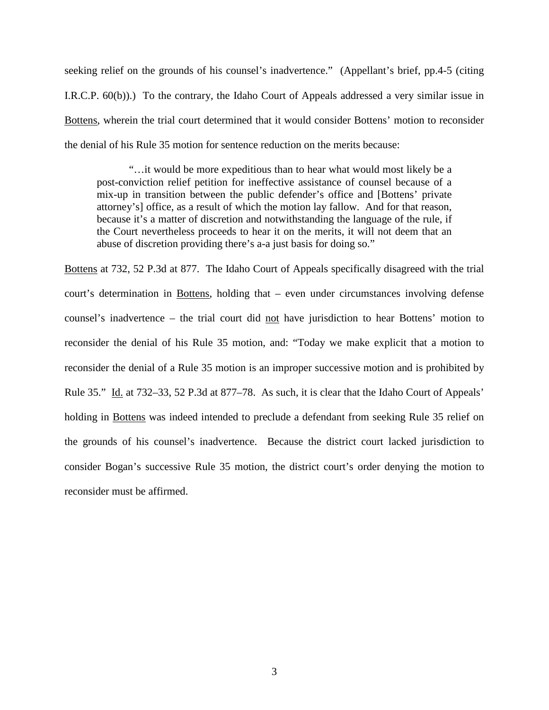seeking relief on the grounds of his counsel's inadvertence." (Appellant's brief, pp.4-5 (citing I.R.C.P. 60(b)).) To the contrary, the Idaho Court of Appeals addressed a very similar issue in Bottens, wherein the trial court determined that it would consider Bottens' motion to reconsider the denial of his Rule 35 motion for sentence reduction on the merits because:

"…it would be more expeditious than to hear what would most likely be a post-conviction relief petition for ineffective assistance of counsel because of a mix-up in transition between the public defender's office and [Bottens' private attorney's] office, as a result of which the motion lay fallow. And for that reason, because it's a matter of discretion and notwithstanding the language of the rule, if the Court nevertheless proceeds to hear it on the merits, it will not deem that an abuse of discretion providing there's a-a just basis for doing so."

Bottens at 732, 52 P.3d at 877. The Idaho Court of Appeals specifically disagreed with the trial court's determination in Bottens, holding that – even under circumstances involving defense counsel's inadvertence – the trial court did not have jurisdiction to hear Bottens' motion to reconsider the denial of his Rule 35 motion, and: "Today we make explicit that a motion to reconsider the denial of a Rule 35 motion is an improper successive motion and is prohibited by Rule 35." Id. at 732–33, 52 P.3d at 877–78. As such, it is clear that the Idaho Court of Appeals' holding in Bottens was indeed intended to preclude a defendant from seeking Rule 35 relief on the grounds of his counsel's inadvertence. Because the district court lacked jurisdiction to consider Bogan's successive Rule 35 motion, the district court's order denying the motion to reconsider must be affirmed.